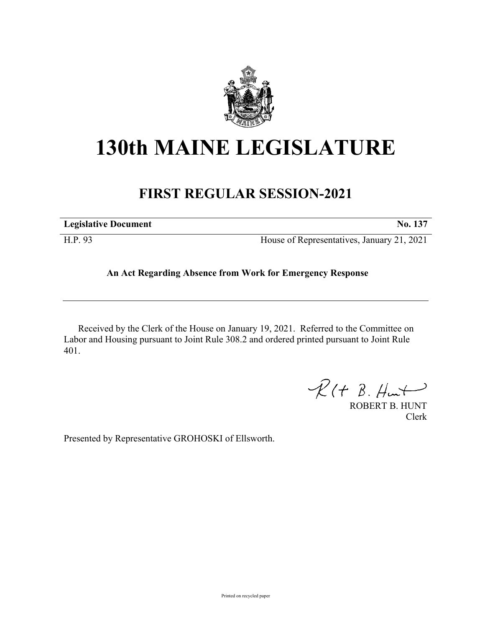

## **130th MAINE LEGISLATURE**

## **FIRST REGULAR SESSION-2021**

| <b>Legislative Document</b> | No. 137                                    |
|-----------------------------|--------------------------------------------|
| H.P. 93                     | House of Representatives, January 21, 2021 |

## **An Act Regarding Absence from Work for Emergency Response**

Received by the Clerk of the House on January 19, 2021. Referred to the Committee on Labor and Housing pursuant to Joint Rule 308.2 and ordered printed pursuant to Joint Rule 401.

 $\mathcal{R}(t \; \mathcal{B}, \mathcal{H}_{\mathsf{int}})$ 

ROBERT B. HUNT Clerk

Presented by Representative GROHOSKI of Ellsworth.